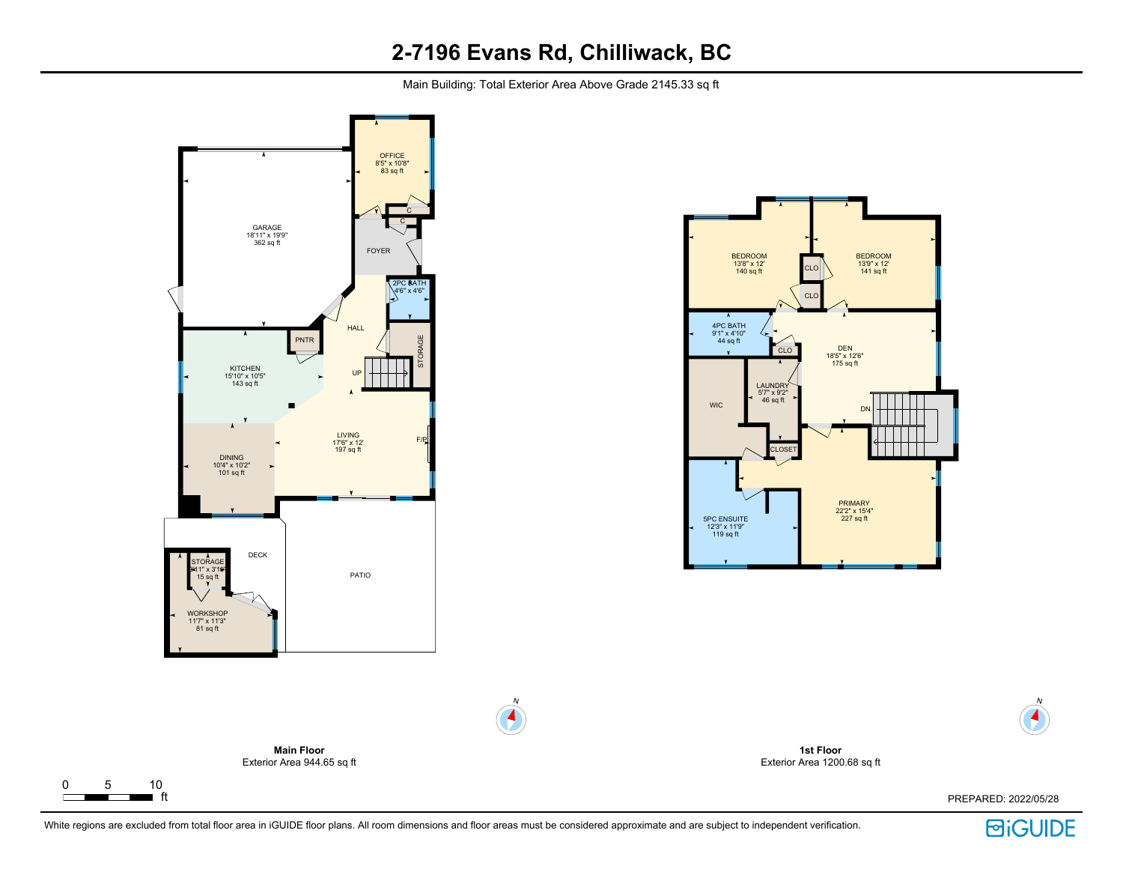## **2-7196 Evans Rd, Chilliwack, BC**

Main Building: Total Exterior Area Above Grade 2145.33 sq ft



 $\Gamma$ 

┳







N



N

 $\blacktriangleleft$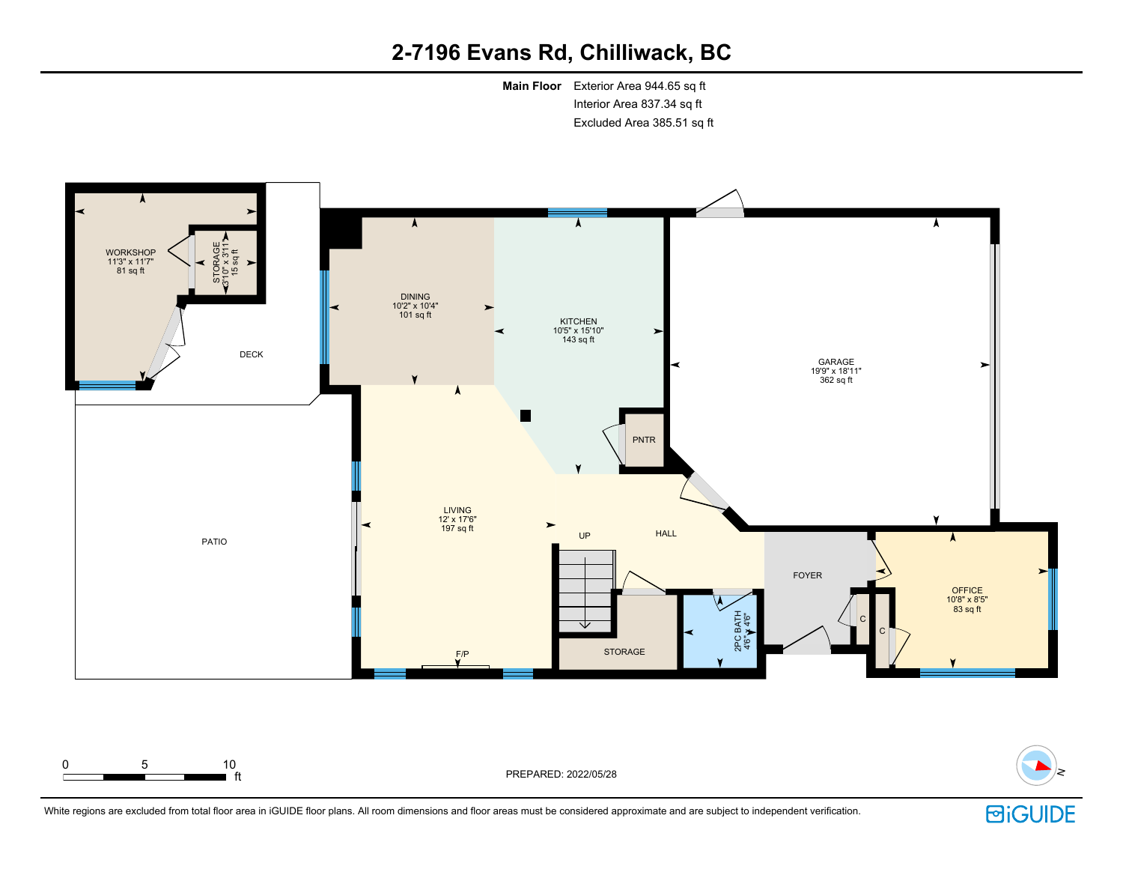# **2-7196 Evans Rd, Chilliwack, BC**

**Main Floor** Exterior Area 944.65 sq ft Interior Area 837.34 sq ft Excluded Area 385.51 sq ft





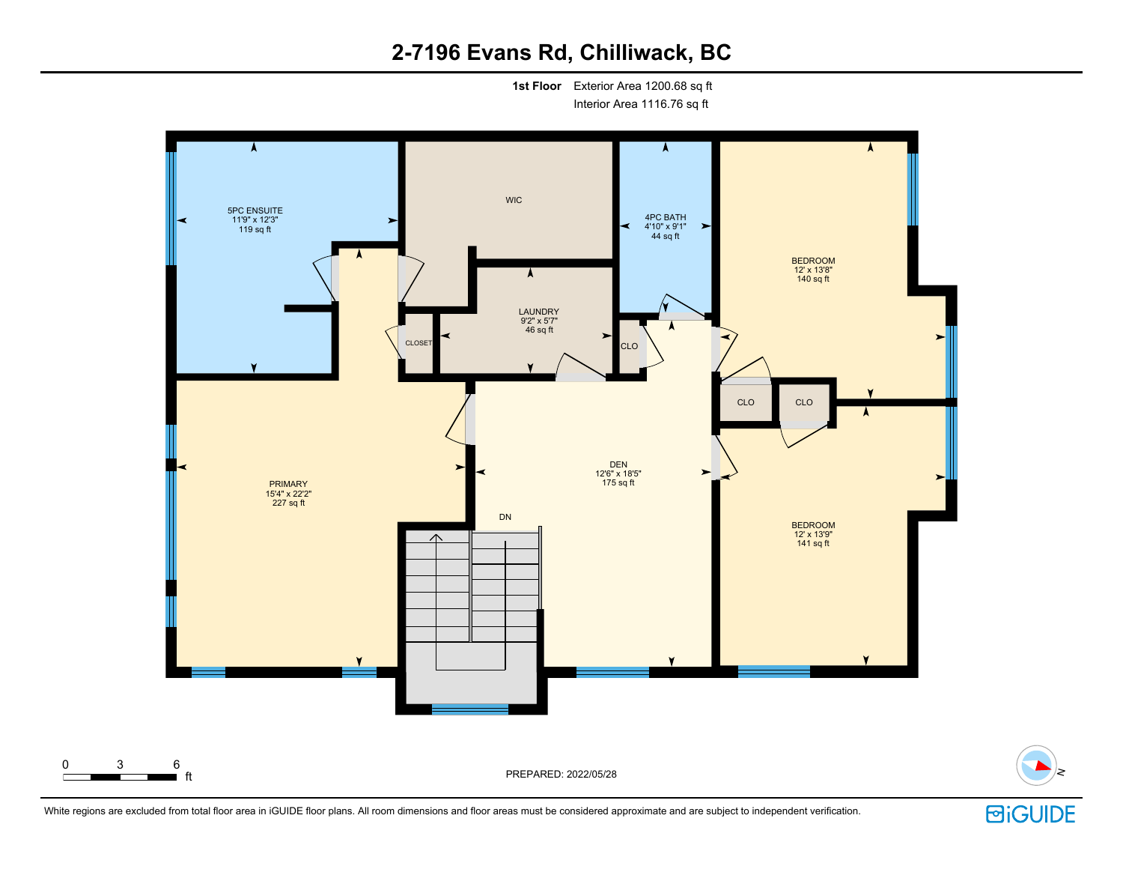# **2-7196 Evans Rd, Chilliwack, BC**

**1st Floor** Exterior Area 1200.68 sq ft Interior Area 1116.76 sq ft





**固iGUIDE** 

N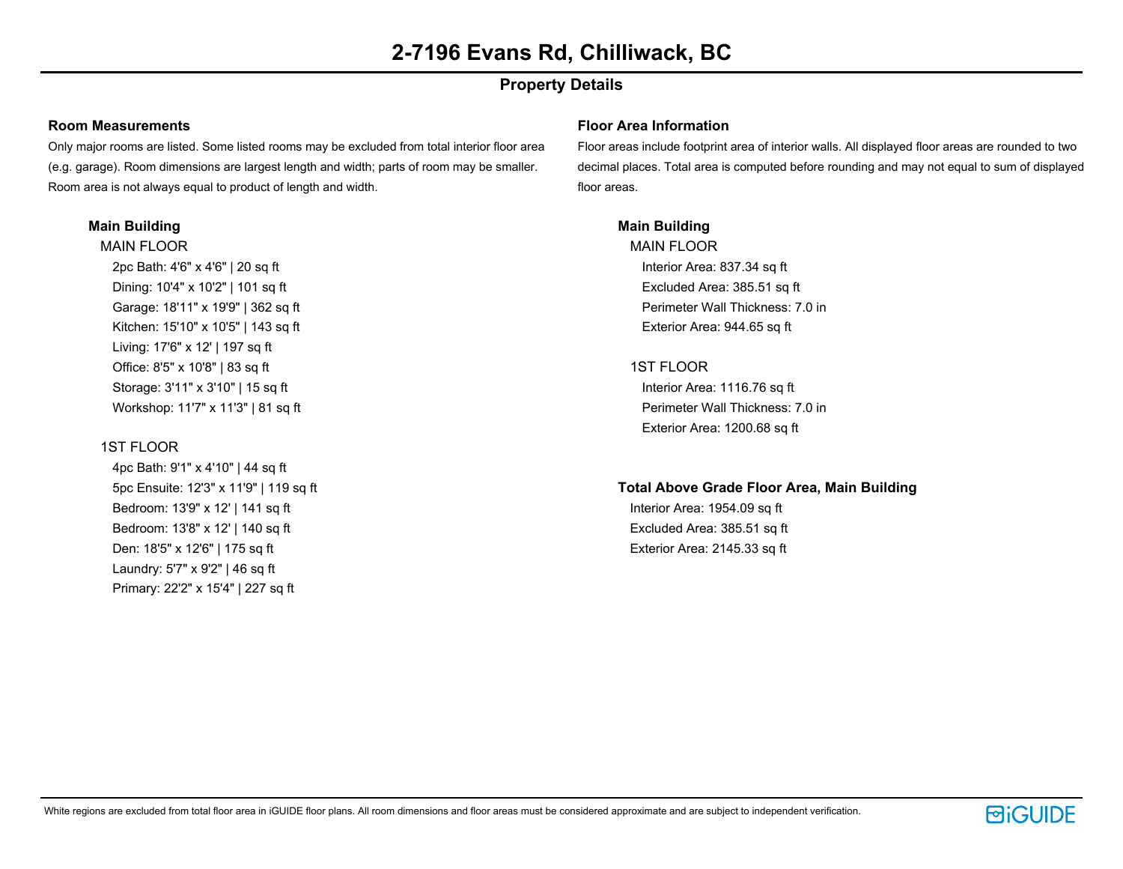## **Property Details**

### **Room Measurements**

Only major rooms are listed. Some listed rooms may be excluded from total interior floor area (e.g. garage). Room dimensions are largest length and width; parts of room may be smaller. Room area is not always equal to product of length and width.

### **Main Building**

MAIN FLOOR 2pc Bath: 4'6" x 4'6" | 20 sq ft Dining: 10'4" x 10'2" | 101 sq ft Garage: 18'11" x 19'9" | 362 sq ft Kitchen: 15'10" x 10'5" | 143 sq ft Living: 17'6" x 12' | 197 sq ft Office: 8'5" x 10'8" | 83 sq ft Storage: 3'11" x 3'10" | 15 sq ft Workshop: 11'7" x 11'3" | 81 sq ft

## 1ST FLOOR

4pc Bath: 9'1" x 4'10" | 44 sq ft 5pc Ensuite: 12'3" x 11'9" | 119 sq ft Bedroom: 13'9" x 12' | 141 sq ft Bedroom: 13'8" x 12' | 140 sq ft Den: 18'5" x 12'6" | 175 sq ft Laundry: 5'7" x 9'2" | 46 sq ft Primary: 22'2" x 15'4" | 227 sq ft

### **Floor Area Information**

Floor areas include footprint area of interior walls. All displayed floor areas are rounded to two decimal places. Total area is computed before rounding and may not equal to sum of displayed floor areas.

## **Main Building**

MAIN FLOOR Interior Area: 837.34 sq ft Excluded Area: 385.51 sq ft Perimeter Wall Thickness: 7.0 in Exterior Area: 944.65 sq ft

## 1ST FLOOR

Interior Area: 1116.76 sq ft Perimeter Wall Thickness: 7.0 in Exterior Area: 1200.68 sq ft

#### **Total Above Grade Floor Area, Main Building**

Interior Area: 1954.09 sq ft Excluded Area: 385.51 sq ft Exterior Area: 2145.33 sq ft